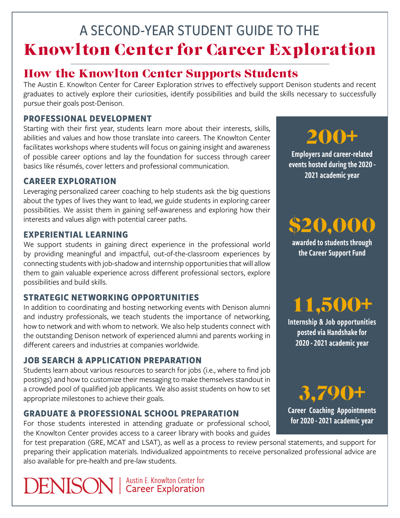## A SECOND-YEAR STUDENT GUIDE TO THE Knowlton Center for Career Exploration

### How the Knowlton Center Supports Students

The Austin E. Knowlton Center for Career Exploration strives to effectively support Denison students and recent graduates to actively explore their curiosities, identify possibilities and build the skills necessary to successfully pursue their goals post-Denison.

#### **PROFESSIONAL DEVELOPMENT**

Starting with their first year, students learn more about their interests, skills, abilities and values and how those translate into careers. The Knowlton Center facilitates workshops where students will focus on gaining insight and awareness of possible career options and lay the foundation for success through career basics like résumés, cover letters and professional communication.

#### **CAREER EXPLORATION**

Leveraging personalized career coaching to help students ask the big questions about the types of lives they want to lead, we guide students in exploring career possibilities. We assist them in gaining self-awareness and exploring how their interests and values align with potential career paths.

#### **EXPERIENTIAL LEARNING**

We support students in gaining direct experience in the professional world by providing meaningful and impactful, out-of-the-classroom experiences by connecting students with job-shadow and internship opportunities that will allow them to gain valuable experience across different professional sectors, explore possibilities and build skills.

#### **STRATEGIC NETWORKING OPPORTUNITIES**

In addition to coordinating and hosting networking events with Denison alumni and industry professionals, we teach students the importance of networking, how to network and with whom to network. We also help students connect with the outstanding Denison network of experienced alumni and parents working in different careers and industries at companies worldwide.

#### **JOB SEARCH & APPLICATION PREPARATION**

Students learn about various resources to search for jobs (i.e., where to find job postings) and how to customize their messaging to make themselves standout in a crowded pool of qualified job applicants. We also assist students on how to set appropriate milestones to achieve their goals.

#### **GRADUATE & PROFESSIONAL SCHOOL PREPARATION**

For those students interested in attending graduate or professional school, the Knowlton Center provides access to a career library with books and guides

for test preparation (GRE, MCAT and LSAT), as well as a process to review personal statements, and support for preparing their application materials. Individualized appointments to receive personalized professional advice are also available for pre-health and pre-law students.

**DENISON** | Austin E. Knowlton Center for

200+

Employers and career-related events hosted during the 2020 - 2021 academic year

\$20,000 awarded to students through

the Career Support Fund

11,500+

Internship & Job opportunities posted via Handshake for 2020 - 2021 academic year

3,790+ Career Coaching Appointments for 2020 - 2021 academic year